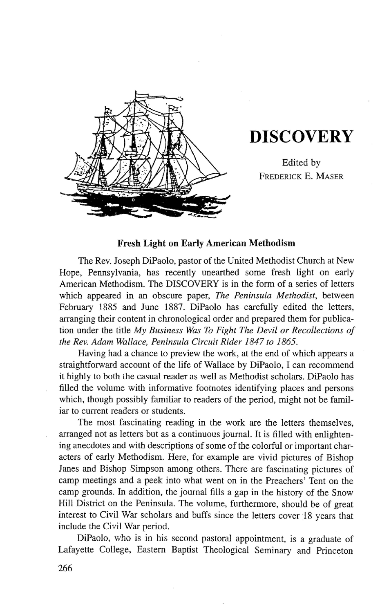

## **DISCOVERY**

Edited by FREDERICK E. MASER

## **Fresh Light on Early American Methodism**

The Rev. Joseph DiPaolo, pastor of the United Methodist Church at New Hope, Pennsylvania, has recently unearthed some fresh light on early American Methodism. The DISCOVERY is in the form of a series of letters which appeared in an obscure paper, *The Peninsula Methodist,* between February 1885 and June 1887. DiPaolo has carefully edited the letters, arranging their content in chronological order and prepared them for publication under the title *My Business Was To Fight The Devil or Recollections of the Rev. Adam Wallace, Peninsula Circuit Rider 1847 to 1865.* 

Having had a chance to preview the work, at the end of which appears a straightforward account of the life of Wallace by DiPaolo, I can recommend it highly to both the casual reader as well as Methodist scholars. DiPaolo has filled the volume with informative footnotes identifying places and persons which, though possibly familiar to readers of the period, might not be familiar to current readers or students.

The most fascinating reading in the work are the letters themselves, arranged not as letters but as a continuous journal. It is filled with enlightening anecdotes and with descriptions of some of the colorful or important characters of early Methodism. Here, for example are vivid pictures of Bishop Janes and Bishop Simpson among others. There are fascinating pictures of camp meetings and a peek into what went on in the Preachers' Tent on the camp grounds. In addition, the journal fills a gap in the history of the Snow Hill District on the Peninsula. The volume, furthermore, should be of great interest to Civil War scholars and buffs since the letters cover 18 years that include the Civil War period.

DiPaolo, who is in his second pastoral appointment, is a graduate of Lafayette College, Eastern Baptist Theological Seminary and Princeton